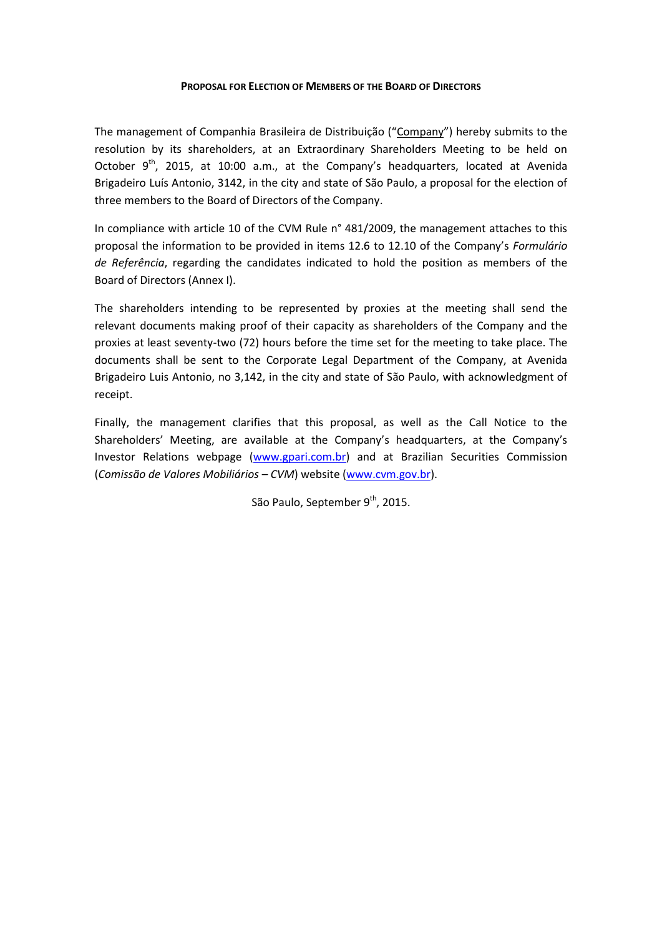#### **PROPOSAL FOR ELECTION OF MEMBERS OF THE BOARD OF DIRECTORS**

The management of Companhia Brasileira de Distribuição ("Company") hereby submits to the resolution by its shareholders, at an Extraordinary Shareholders Meeting to be held on October  $9^{th}$ , 2015, at 10:00 a.m., at the Company's headquarters, located at Avenida Brigadeiro Luís Antonio, 3142, in the city and state of São Paulo, a proposal for the election of three members to the Board of Directors of the Company.

In compliance with article 10 of the CVM Rule n° 481/2009, the management attaches to this proposal the information to be provided in items 12.6 to 12.10 of the Company's *Formulário de Referência*, regarding the candidates indicated to hold the position as members of the Board of Directors (Annex I).

The shareholders intending to be represented by proxies at the meeting shall send the relevant documents making proof of their capacity as shareholders of the Company and the proxies at least seventy-two (72) hours before the time set for the meeting to take place. The documents shall be sent to the Corporate Legal Department of the Company, at Avenida Brigadeiro Luis Antonio, no 3,142, in the city and state of São Paulo, with acknowledgment of receipt.

Finally, the management clarifies that this proposal, as well as the Call Notice to the Shareholders' Meeting, are available at the Company's headquarters, at the Company's Investor Relations webpage [\(www.gpari.com.br\)](http://www.gpari.com.br/) and at Brazilian Securities Commission (*Comissão de Valores Mobiliários – CVM*) website [\(www.cvm.gov.br\)](http://www.cvm.gov.br/).

São Paulo, September 9<sup>th</sup>, 2015.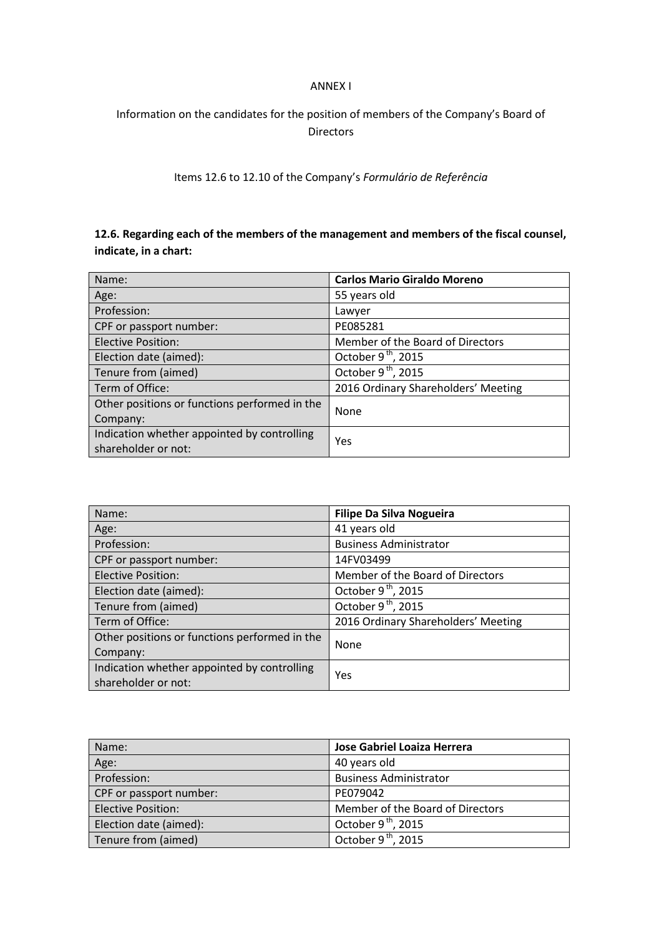### ANNEX I

# Information on the candidates for the position of members of the Company's Board of Directors

Items 12.6 to 12.10 of the Company's *Formulário de Referência*

## **12.6. Regarding each of the members of the management and members of the fiscal counsel, indicate, in a chart:**

| Name:                                         | <b>Carlos Mario Giraldo Moreno</b>  |
|-----------------------------------------------|-------------------------------------|
| Age:                                          | 55 years old                        |
| Profession:                                   | Lawyer                              |
| CPF or passport number:                       | PE085281                            |
| <b>Elective Position:</b>                     | Member of the Board of Directors    |
| Election date (aimed):                        | October $9th$ , 2015                |
| Tenure from (aimed)                           | October 9 <sup>th</sup> , 2015      |
| Term of Office:                               | 2016 Ordinary Shareholders' Meeting |
| Other positions or functions performed in the | None                                |
| Company:                                      |                                     |
| Indication whether appointed by controlling   |                                     |
| shareholder or not:                           | Yes                                 |

| Name:                                         | <b>Filipe Da Silva Nogueira</b>     |
|-----------------------------------------------|-------------------------------------|
| Age:                                          | 41 years old                        |
| Profession:                                   | <b>Business Administrator</b>       |
| CPF or passport number:                       | 14FV03499                           |
| <b>Elective Position:</b>                     | Member of the Board of Directors    |
| Election date (aimed):                        | October $9th$ , 2015                |
| Tenure from (aimed)                           | October 9 <sup>th</sup> , 2015      |
| Term of Office:                               | 2016 Ordinary Shareholders' Meeting |
| Other positions or functions performed in the | None                                |
| Company:                                      |                                     |
| Indication whether appointed by controlling   |                                     |
| shareholder or not:                           | Yes                                 |

| Name:                     | Jose Gabriel Loaiza Herrera      |
|---------------------------|----------------------------------|
| Age:                      | 40 years old                     |
| Profession:               | <b>Business Administrator</b>    |
| CPF or passport number:   | PE079042                         |
| <b>Elective Position:</b> | Member of the Board of Directors |
| Election date (aimed):    | October $9th$ , 2015             |
| Tenure from (aimed)       | October $9^{th}$ , 2015          |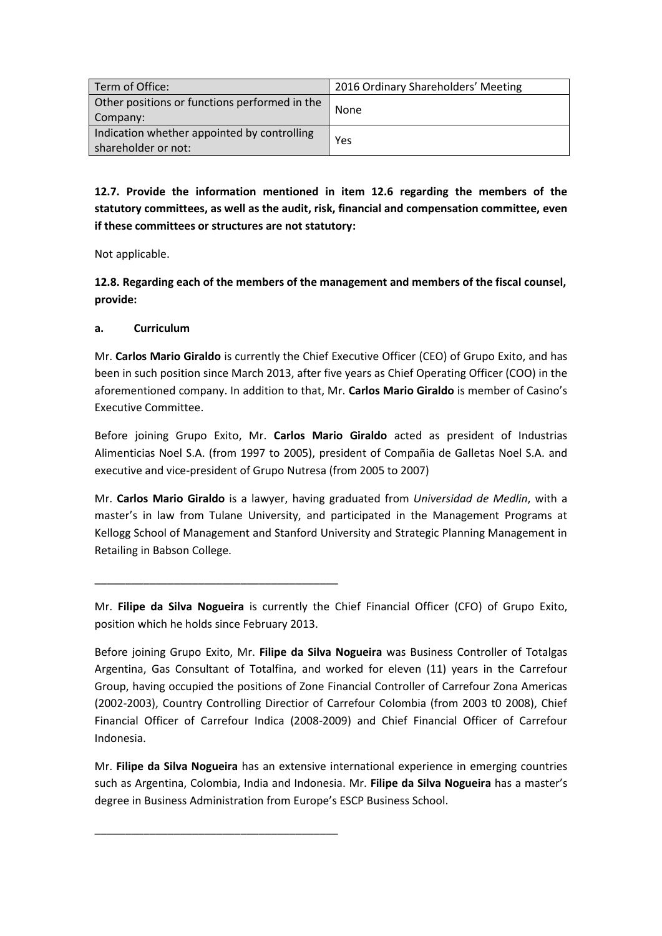| Term of Office:                                                    | 2016 Ordinary Shareholders' Meeting |
|--------------------------------------------------------------------|-------------------------------------|
| Other positions or functions performed in the<br>Company:          | None                                |
| Indication whether appointed by controlling<br>shareholder or not: | Yes                                 |

**12.7. Provide the information mentioned in item 12.6 regarding the members of the statutory committees, as well as the audit, risk, financial and compensation committee, even if these committees or structures are not statutory:**

Not applicable.

**12.8. Regarding each of the members of the management and members of the fiscal counsel, provide:**

### **a. Curriculum**

\_\_\_\_\_\_\_\_\_\_\_\_\_\_\_\_\_\_\_\_\_\_\_\_\_\_\_\_\_\_\_\_\_\_\_\_\_\_\_\_

\_\_\_\_\_\_\_\_\_\_\_\_\_\_\_\_\_\_\_\_\_\_\_\_\_\_\_\_\_\_\_\_\_\_\_\_\_\_\_\_

Mr. **Carlos Mario Giraldo** is currently the Chief Executive Officer (CEO) of Grupo Exito, and has been in such position since March 2013, after five years as Chief Operating Officer (COO) in the aforementioned company. In addition to that, Mr. **Carlos Mario Giraldo** is member of Casino's Executive Committee.

Before joining Grupo Exito, Mr. **Carlos Mario Giraldo** acted as president of Industrias Alimenticias Noel S.A. (from 1997 to 2005), president of Compañia de Galletas Noel S.A. and executive and vice-president of Grupo Nutresa (from 2005 to 2007)

Mr. **Carlos Mario Giraldo** is a lawyer, having graduated from *Universidad de Medlin*, with a master's in law from Tulane University, and participated in the Management Programs at Kellogg School of Management and Stanford University and Strategic Planning Management in Retailing in Babson College.

Mr. **Filipe da Silva Nogueira** is currently the Chief Financial Officer (CFO) of Grupo Exito, position which he holds since February 2013.

Before joining Grupo Exito, Mr. **Filipe da Silva Nogueira** was Business Controller of Totalgas Argentina, Gas Consultant of Totalfina, and worked for eleven (11) years in the Carrefour Group, having occupied the positions of Zone Financial Controller of Carrefour Zona Americas (2002-2003), Country Controlling Directior of Carrefour Colombia (from 2003 t0 2008), Chief Financial Officer of Carrefour Indica (2008-2009) and Chief Financial Officer of Carrefour Indonesia.

Mr. **Filipe da Silva Nogueira** has an extensive international experience in emerging countries such as Argentina, Colombia, India and Indonesia. Mr. **Filipe da Silva Nogueira** has a master's degree in Business Administration from Europe's ESCP Business School.